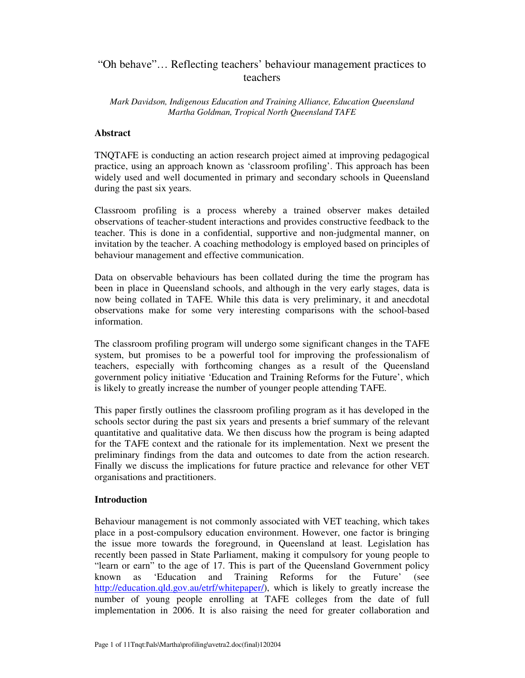# "Oh behave"… Reflecting teachers' behaviour management practices to teachers

#### *Mark Davidson, Indigenous Education and Training Alliance, Education Queensland Martha Goldman, Tropical North Queensland TAFE*

# **Abstract**

TNQTAFE is conducting an action research project aimed at improving pedagogical practice, using an approach known as 'classroom profiling'. This approach has been widely used and well documented in primary and secondary schools in Queensland during the past six years.

Classroom profiling is a process whereby a trained observer makes detailed observations of teacher-student interactions and provides constructive feedback to the teacher. This is done in a confidential, supportive and non-judgmental manner, on invitation by the teacher. A coaching methodology is employed based on principles of behaviour management and effective communication.

Data on observable behaviours has been collated during the time the program has been in place in Queensland schools, and although in the very early stages, data is now being collated in TAFE. While this data is very preliminary, it and anecdotal observations make for some very interesting comparisons with the school-based information.

The classroom profiling program will undergo some significant changes in the TAFE system, but promises to be a powerful tool for improving the professionalism of teachers, especially with forthcoming changes as a result of the Queensland government policy initiative 'Education and Training Reforms for the Future', which is likely to greatly increase the number of younger people attending TAFE.

This paper firstly outlines the classroom profiling program as it has developed in the schools sector during the past six years and presents a brief summary of the relevant quantitative and qualitative data. We then discuss how the program is being adapted for the TAFE context and the rationale for its implementation. Next we present the preliminary findings from the data and outcomes to date from the action research. Finally we discuss the implications for future practice and relevance for other VET organisations and practitioners.

# **Introduction**

Behaviour management is not commonly associated with VET teaching, which takes place in a post-compulsory education environment. However, one factor is bringing the issue more towards the foreground, in Queensland at least. Legislation has recently been passed in State Parliament, making it compulsory for young people to "learn or earn" to the age of 17. This is part of the Queensland Government policy known as 'Education and Training Reforms for the Future' (see http://education.qld.gov.au/etrf/whitepaper/), which is likely to greatly increase the number of young people enrolling at TAFE colleges from the date of full implementation in 2006. It is also raising the need for greater collaboration and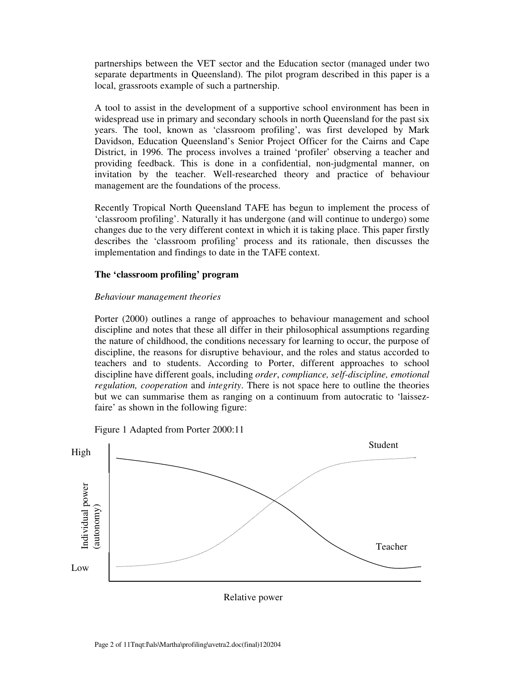partnerships between the VET sector and the Education sector (managed under two separate departments in Queensland). The pilot program described in this paper is a local, grassroots example of such a partnership.

A tool to assist in the development of a supportive school environment has been in widespread use in primary and secondary schools in north Queensland for the past six years. The tool, known as 'classroom profiling', was first developed by Mark Davidson, Education Queensland's Senior Project Officer for the Cairns and Cape District, in 1996. The process involves a trained 'profiler' observing a teacher and providing feedback. This is done in a confidential, non-judgmental manner, on invitation by the teacher. Well-researched theory and practice of behaviour management are the foundations of the process.

Recently Tropical North Queensland TAFE has begun to implement the process of 'classroom profiling'. Naturally it has undergone (and will continue to undergo) some changes due to the very different context in which it is taking place. This paper firstly describes the 'classroom profiling' process and its rationale, then discusses the implementation and findings to date in the TAFE context.

# **The 'classroom profiling' program**

# *Behaviour management theories*

Porter (2000) outlines a range of approaches to behaviour management and school discipline and notes that these all differ in their philosophical assumptions regarding the nature of childhood, the conditions necessary for learning to occur, the purpose of discipline, the reasons for disruptive behaviour, and the roles and status accorded to teachers and to students. According to Porter, different approaches to school discipline have different goals, including *order*, *compliance, self-discipline, emotional regulation, cooperation* and *integrity*. There is not space here to outline the theories but we can summarise them as ranging on a continuum from autocratic to 'laissezfaire' as shown in the following figure:



Figure 1 Adapted from Porter 2000:11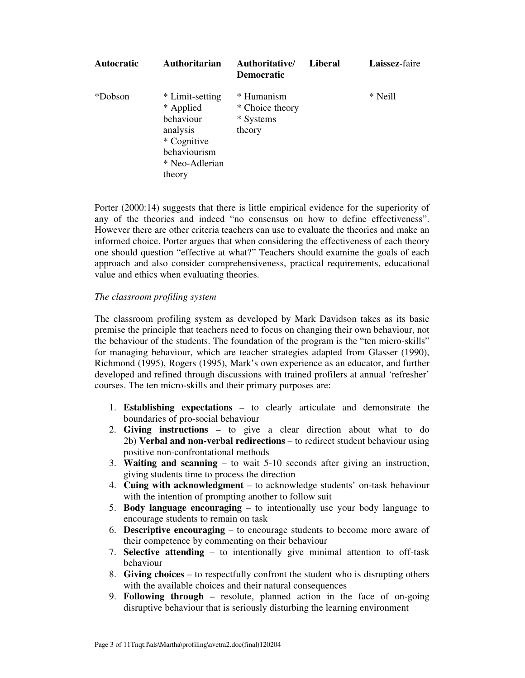| <b>Autocratic</b> | <b>Authoritarian</b>                                                                                             | Authoritative/<br><b>Democratic</b>                  | Liberal | Laissez-faire |
|-------------------|------------------------------------------------------------------------------------------------------------------|------------------------------------------------------|---------|---------------|
| *Dobson           | * Limit-setting<br>* Applied<br>behaviour<br>analysis<br>* Cognitive<br>behaviourism<br>* Neo-Adlerian<br>theory | * Humanism<br>* Choice theory<br>* Systems<br>theory |         | * Neill       |

Porter (2000:14) suggests that there is little empirical evidence for the superiority of any of the theories and indeed "no consensus on how to define effectiveness". However there are other criteria teachers can use to evaluate the theories and make an informed choice. Porter argues that when considering the effectiveness of each theory one should question "effective at what?" Teachers should examine the goals of each approach and also consider comprehensiveness, practical requirements, educational value and ethics when evaluating theories.

# *The classroom profiling system*

The classroom profiling system as developed by Mark Davidson takes as its basic premise the principle that teachers need to focus on changing their own behaviour, not the behaviour of the students. The foundation of the program is the "ten micro-skills" for managing behaviour, which are teacher strategies adapted from Glasser (1990), Richmond (1995), Rogers (1995), Mark's own experience as an educator, and further developed and refined through discussions with trained profilers at annual 'refresher' courses. The ten micro-skills and their primary purposes are:

- 1. **Establishing expectations** to clearly articulate and demonstrate the boundaries of pro-social behaviour
- 2. **Giving instructions** to give a clear direction about what to do 2b) **Verbal and non-verbal redirections** – to redirect student behaviour using positive non-confrontational methods
- 3. **Waiting and scanning** to wait 5-10 seconds after giving an instruction, giving students time to process the direction
- 4. **Cuing with acknowledgment** to acknowledge students' on-task behaviour with the intention of prompting another to follow suit
- 5. **Body language encouraging** to intentionally use your body language to encourage students to remain on task
- 6. **Descriptive encouraging** to encourage students to become more aware of their competence by commenting on their behaviour
- 7. **Selective attending** to intentionally give minimal attention to off-task behaviour
- 8. **Giving choices** to respectfully confront the student who is disrupting others with the available choices and their natural consequences
- 9. **Following through** resolute, planned action in the face of on-going disruptive behaviour that is seriously disturbing the learning environment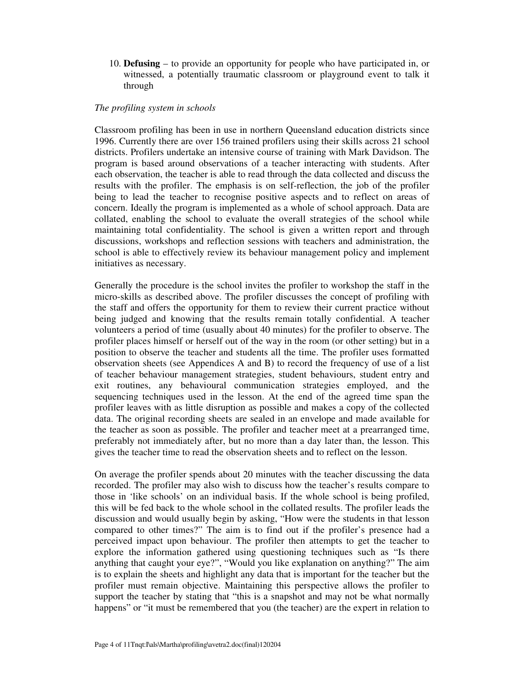10. **Defusing** – to provide an opportunity for people who have participated in, or witnessed, a potentially traumatic classroom or playground event to talk it through

#### *The profiling system in schools*

Classroom profiling has been in use in northern Queensland education districts since 1996. Currently there are over 156 trained profilers using their skills across 21 school districts. Profilers undertake an intensive course of training with Mark Davidson. The program is based around observations of a teacher interacting with students. After each observation, the teacher is able to read through the data collected and discuss the results with the profiler. The emphasis is on self-reflection, the job of the profiler being to lead the teacher to recognise positive aspects and to reflect on areas of concern. Ideally the program is implemented as a whole of school approach. Data are collated, enabling the school to evaluate the overall strategies of the school while maintaining total confidentiality. The school is given a written report and through discussions, workshops and reflection sessions with teachers and administration, the school is able to effectively review its behaviour management policy and implement initiatives as necessary.

Generally the procedure is the school invites the profiler to workshop the staff in the micro-skills as described above. The profiler discusses the concept of profiling with the staff and offers the opportunity for them to review their current practice without being judged and knowing that the results remain totally confidential. A teacher volunteers a period of time (usually about 40 minutes) for the profiler to observe. The profiler places himself or herself out of the way in the room (or other setting) but in a position to observe the teacher and students all the time. The profiler uses formatted observation sheets (see Appendices A and B) to record the frequency of use of a list of teacher behaviour management strategies, student behaviours, student entry and exit routines, any behavioural communication strategies employed, and the sequencing techniques used in the lesson. At the end of the agreed time span the profiler leaves with as little disruption as possible and makes a copy of the collected data. The original recording sheets are sealed in an envelope and made available for the teacher as soon as possible. The profiler and teacher meet at a prearranged time, preferably not immediately after, but no more than a day later than, the lesson. This gives the teacher time to read the observation sheets and to reflect on the lesson.

On average the profiler spends about 20 minutes with the teacher discussing the data recorded. The profiler may also wish to discuss how the teacher's results compare to those in 'like schools' on an individual basis. If the whole school is being profiled, this will be fed back to the whole school in the collated results. The profiler leads the discussion and would usually begin by asking, "How were the students in that lesson compared to other times?" The aim is to find out if the profiler's presence had a perceived impact upon behaviour. The profiler then attempts to get the teacher to explore the information gathered using questioning techniques such as "Is there anything that caught your eye?", "Would you like explanation on anything?" The aim is to explain the sheets and highlight any data that is important for the teacher but the profiler must remain objective. Maintaining this perspective allows the profiler to support the teacher by stating that "this is a snapshot and may not be what normally happens" or "it must be remembered that you (the teacher) are the expert in relation to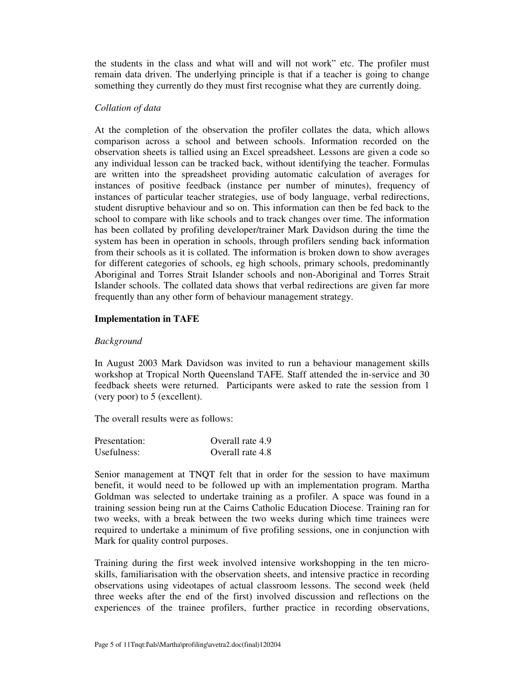the students in the class and what will and will not work" etc. The profiler must remain data driven. The underlying principle is that if a teacher is going to change something they currently do they must first recognise what they are currently doing.

#### *Collation of data*

At the completion of the observation the profiler collates the data, which allows comparison across a school and between schools. Information recorded on the observation sheets is tallied using an Excel spreadsheet. Lessons are given a code so any individual lesson can be tracked back, without identifying the teacher. Formulas are written into the spreadsheet providing automatic calculation of averages for instances of positive feedback (instance per number of minutes), frequency of instances of particular teacher strategies, use of body language, verbal redirections, student disruptive behaviour and so on. This information can then be fed back to the school to compare with like schools and to track changes over time. The information has been collated by profiling developer/trainer Mark Davidson during the time the system has been in operation in schools, through profilers sending back information from their schools as it is collated. The information is broken down to show averages for different categories of schools, eg high schools, primary schools, predominantly Aboriginal and Torres Strait Islander schools and non-Aboriginal and Torres Strait Islander schools. The collated data shows that verbal redirections are given far more frequently than any other form of behaviour management strategy.

#### **Implementation in TAFE**

#### *Background*

In August 2003 Mark Davidson was invited to run a behaviour management skills workshop at Tropical North Queensland TAFE. Staff attended the in-service and 30 feedback sheets were returned. Participants were asked to rate the session from 1 (very poor) to 5 (excellent).

The overall results were as follows:

| Presentation: | Overall rate 4.9 |
|---------------|------------------|
| Usefulness:   | Overall rate 4.8 |

Senior management at TNQT felt that in order for the session to have maximum benefit, it would need to be followed up with an implementation program. Martha Goldman was selected to undertake training as a profiler. A space was found in a training session being run at the Cairns Catholic Education Diocese. Training ran for two weeks, with a break between the two weeks during which time trainees were required to undertake a minimum of five profiling sessions, one in conjunction with Mark for quality control purposes.

Training during the first week involved intensive workshopping in the ten microskills, familiarisation with the observation sheets, and intensive practice in recording observations using videotapes of actual classroom lessons. The second week (held three weeks after the end of the first) involved discussion and reflections on the experiences of the trainee profilers, further practice in recording observations,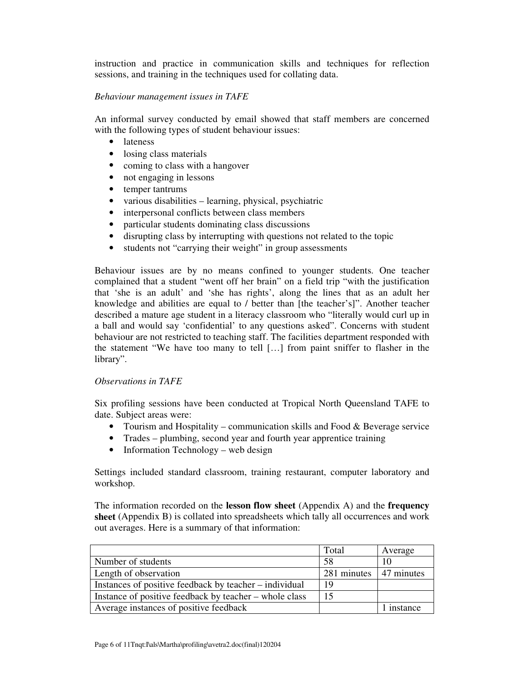instruction and practice in communication skills and techniques for reflection sessions, and training in the techniques used for collating data.

# *Behaviour management issues in TAFE*

An informal survey conducted by email showed that staff members are concerned with the following types of student behaviour issues:

- lateness
- losing class materials
- coming to class with a hangover
- not engaging in lessons
- temper tantrums
- various disabilities learning, physical, psychiatric
- interpersonal conflicts between class members
- particular students dominating class discussions
- disrupting class by interrupting with questions not related to the topic
- students not "carrying their weight" in group assessments

Behaviour issues are by no means confined to younger students. One teacher complained that a student "went off her brain" on a field trip "with the justification that 'she is an adult' and 'she has rights', along the lines that as an adult her knowledge and abilities are equal to / better than [the teacher's]". Another teacher described a mature age student in a literacy classroom who "literally would curl up in a ball and would say 'confidential' to any questions asked". Concerns with student behaviour are not restricted to teaching staff. The facilities department responded with the statement "We have too many to tell […] from paint sniffer to flasher in the library".

# *Observations in TAFE*

Six profiling sessions have been conducted at Tropical North Queensland TAFE to date. Subject areas were:

- Tourism and Hospitality communication skills and Food & Beverage service
- Trades plumbing, second year and fourth year apprentice training
- Information Technology web design

Settings included standard classroom, training restaurant, computer laboratory and workshop.

The information recorded on the **lesson flow sheet** (Appendix A) and the **frequency sheet** (Appendix B) is collated into spreadsheets which tally all occurrences and work out averages. Here is a summary of that information:

|                                                        | Total                    | Average  |
|--------------------------------------------------------|--------------------------|----------|
| Number of students                                     | 58                       | 10       |
| Length of observation                                  | 281 minutes   47 minutes |          |
| Instances of positive feedback by teacher – individual | 19                       |          |
| Instance of positive feedback by teacher – whole class | 15                       |          |
| Average instances of positive feedback                 |                          | instance |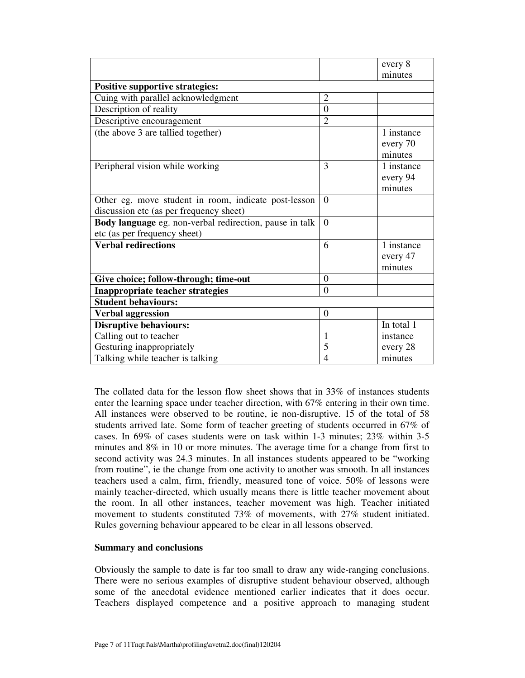|                                                         |                  | every 8    |
|---------------------------------------------------------|------------------|------------|
|                                                         |                  | minutes    |
| <b>Positive supportive strategies:</b>                  |                  |            |
| Cuing with parallel acknowledgment                      | $\overline{2}$   |            |
| Description of reality                                  | $\overline{0}$   |            |
| Descriptive encouragement                               | $\overline{2}$   |            |
| (the above 3 are tallied together)                      |                  | 1 instance |
|                                                         |                  | every 70   |
|                                                         |                  | minutes    |
| Peripheral vision while working                         | 3                | 1 instance |
|                                                         |                  | every 94   |
|                                                         |                  | minutes    |
| Other eg. move student in room, indicate post-lesson    | $\Omega$         |            |
| discussion etc (as per frequency sheet)                 |                  |            |
| Body language eg. non-verbal redirection, pause in talk | $\Omega$         |            |
| etc (as per frequency sheet)                            |                  |            |
|                                                         | 6                |            |
| <b>Verbal redirections</b>                              |                  | 1 instance |
|                                                         |                  | every 47   |
|                                                         |                  | minutes    |
| Give choice; follow-through; time-out                   | $\overline{0}$   |            |
| <b>Inappropriate teacher strategies</b>                 | $\overline{0}$   |            |
| <b>Student behaviours:</b>                              |                  |            |
| <b>Verbal aggression</b>                                | $\boldsymbol{0}$ |            |
| <b>Disruptive behaviours:</b>                           |                  | In total 1 |
| Calling out to teacher                                  | 1                | instance   |
| Gesturing inappropriately                               | 5                | every 28   |
| Talking while teacher is talking                        | 4                | minutes    |

The collated data for the lesson flow sheet shows that in 33% of instances students enter the learning space under teacher direction, with 67% entering in their own time. All instances were observed to be routine, ie non-disruptive. 15 of the total of 58 students arrived late. Some form of teacher greeting of students occurred in 67% of cases. In 69% of cases students were on task within 1-3 minutes; 23% within 3-5 minutes and 8% in 10 or more minutes. The average time for a change from first to second activity was 24.3 minutes. In all instances students appeared to be "working from routine", ie the change from one activity to another was smooth. In all instances teachers used a calm, firm, friendly, measured tone of voice. 50% of lessons were mainly teacher-directed, which usually means there is little teacher movement about the room. In all other instances, teacher movement was high. Teacher initiated movement to students constituted 73% of movements, with 27% student initiated. Rules governing behaviour appeared to be clear in all lessons observed.

#### **Summary and conclusions**

Obviously the sample to date is far too small to draw any wide-ranging conclusions. There were no serious examples of disruptive student behaviour observed, although some of the anecdotal evidence mentioned earlier indicates that it does occur. Teachers displayed competence and a positive approach to managing student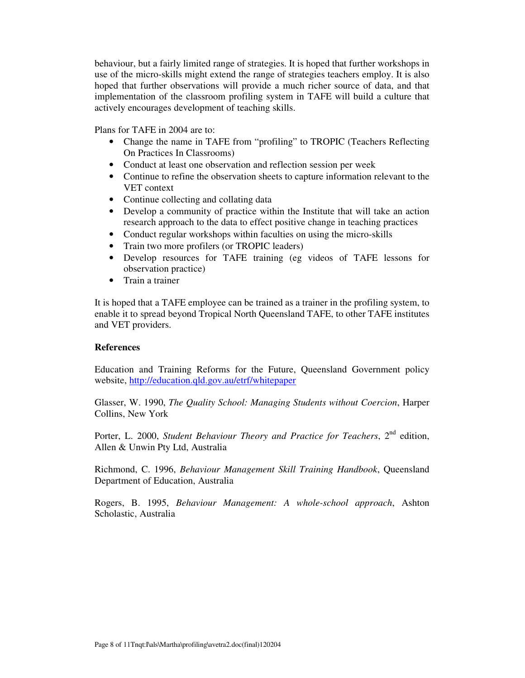behaviour, but a fairly limited range of strategies. It is hoped that further workshops in use of the micro-skills might extend the range of strategies teachers employ. It is also hoped that further observations will provide a much richer source of data, and that implementation of the classroom profiling system in TAFE will build a culture that actively encourages development of teaching skills.

Plans for TAFE in 2004 are to:

- Change the name in TAFE from "profiling" to TROPIC (Teachers Reflecting On Practices In Classrooms)
- Conduct at least one observation and reflection session per week
- Continue to refine the observation sheets to capture information relevant to the VET context
- Continue collecting and collating data
- Develop a community of practice within the Institute that will take an action research approach to the data to effect positive change in teaching practices
- Conduct regular workshops within faculties on using the micro-skills
- Train two more profilers (or TROPIC leaders)
- Develop resources for TAFE training (eg videos of TAFE lessons for observation practice)
- Train a trainer

It is hoped that a TAFE employee can be trained as a trainer in the profiling system, to enable it to spread beyond Tropical North Queensland TAFE, to other TAFE institutes and VET providers.

# **References**

Education and Training Reforms for the Future, Queensland Government policy website, http://education.qld.gov.au/etrf/whitepaper

Glasser, W. 1990, *The Quality School: Managing Students without Coercion*, Harper Collins, New York

Porter, L. 2000, *Student Behaviour Theory and Practice for Teachers*, 2<sup>nd</sup> edition, Allen & Unwin Pty Ltd, Australia

Richmond, C. 1996, *Behaviour Management Skill Training Handbook*, Queensland Department of Education, Australia

Rogers, B. 1995, *Behaviour Management: A whole-school approach*, Ashton Scholastic, Australia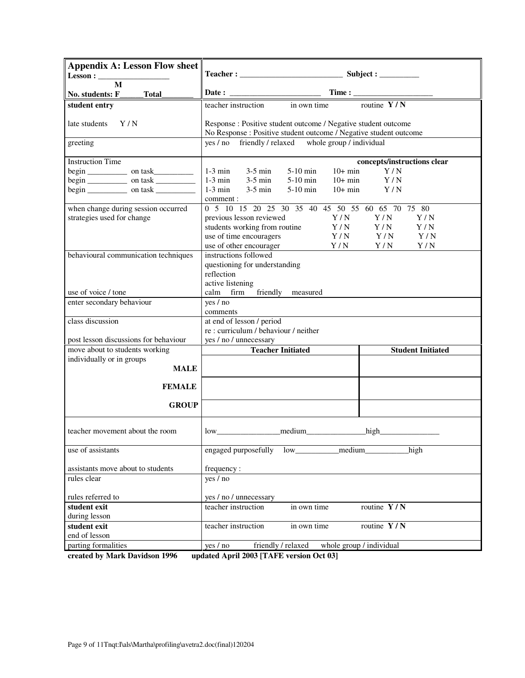| <b>Appendix A: Lesson Flow sheet</b><br>$Lesson : \_$             |                                                                                                                                                                                                 |                                                        |
|-------------------------------------------------------------------|-------------------------------------------------------------------------------------------------------------------------------------------------------------------------------------------------|--------------------------------------------------------|
| M                                                                 |                                                                                                                                                                                                 |                                                        |
| No. students: F<br><b>Total</b>                                   |                                                                                                                                                                                                 |                                                        |
| student entry                                                     | teacher instruction<br>in own time                                                                                                                                                              | routine $Y/N$                                          |
| Y/N<br>late students                                              | Response : Positive student outcome / Negative student outcome<br>No Response : Positive student outcome / Negative student outcome                                                             |                                                        |
| greeting                                                          | yes / no friendly / relaxed<br>whole group / individual                                                                                                                                         |                                                        |
| <b>Instruction Time</b>                                           | $5-10$ min<br>$10+ min$<br>$1-3$ min<br>$3-5$ min<br>$1-3$ min<br>$3-5$ min<br>$5-10$ min<br>$10+ min$<br>$1-3$ min<br>$3-5$ min<br>$5-10$ min<br>$10+ min$<br>comment :                        | concepts/instructions clear<br>Y/N<br>Y/N<br>Y/N       |
| when change during session occurred<br>strategies used for change | 0 5 10 15 20 25 30 35 40 45 50 55 60 65 70 75 80<br>previous lesson reviewed<br>Y/N<br>students working from routine<br>Y/N<br>use of time encouragers<br>Y/N<br>Y/N<br>use of other encourager | Y/N<br>Y / N<br>Y/N<br>Y/N<br>Y/N<br>Y/N<br>Y/N<br>Y/N |
| behavioural communication techniques                              | instructions followed<br>questioning for understanding<br>reflection<br>active listening                                                                                                        |                                                        |
| use of voice / tone                                               | calm firm<br>friendly<br>measured                                                                                                                                                               |                                                        |
| enter secondary behaviour                                         | yes / no<br>comments                                                                                                                                                                            |                                                        |
| class discussion<br>post lesson discussions for behaviour         | at end of lesson / period<br>re : curriculum / behaviour / neither<br>yes / no / unnecessary                                                                                                    |                                                        |
| move about to students working                                    | <b>Teacher Initiated</b>                                                                                                                                                                        | <b>Student Initiated</b>                               |
| individually or in groups<br><b>MALE</b>                          |                                                                                                                                                                                                 |                                                        |
|                                                                   |                                                                                                                                                                                                 |                                                        |
| <b>FEMALE</b>                                                     |                                                                                                                                                                                                 |                                                        |
| <b>GROUP</b>                                                      |                                                                                                                                                                                                 |                                                        |
| teacher movement about the room                                   | low medium high                                                                                                                                                                                 |                                                        |
| use of assistants                                                 | engaged purposefully                                                                                                                                                                            | high                                                   |
| assistants move about to students                                 | frequency:                                                                                                                                                                                      |                                                        |
| rules clear                                                       | yes / no                                                                                                                                                                                        |                                                        |
| rules referred to                                                 | yes / no / unnecessary                                                                                                                                                                          |                                                        |
| student exit                                                      | teacher instruction<br>in own time                                                                                                                                                              | routine $Y/N$                                          |
| during lesson<br>student exit                                     | teacher instruction<br>in own time                                                                                                                                                              | routine $Y/N$                                          |
| end of lesson<br>parting formalities                              | friendly / relaxed<br>yes / no                                                                                                                                                                  | whole group / individual                               |
|                                                                   |                                                                                                                                                                                                 |                                                        |

**created by Mark Davidson 1996 updated April 2003 [TAFE version Oct 03]**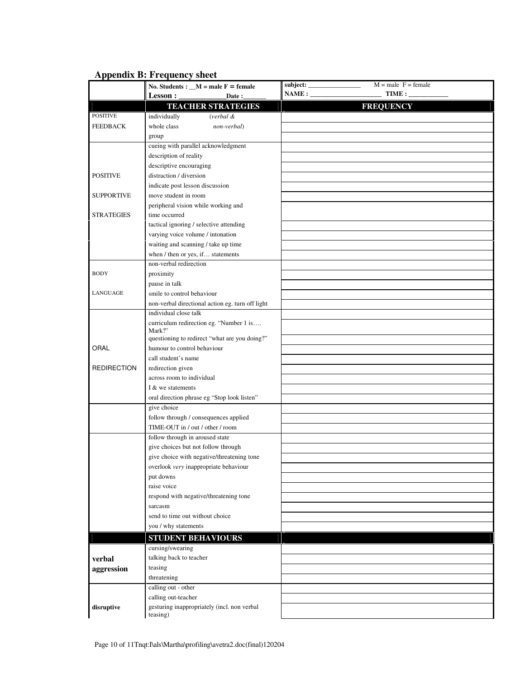|                    | No. Students : $_M =$ male $F =$ female                 | $M = male F = female$<br>subject: |
|--------------------|---------------------------------------------------------|-----------------------------------|
|                    | Lesson :<br>Date:                                       | NAME:<br>TIME:                    |
|                    | <b>TEACHER STRATEGIES</b>                               | <b>FREQUENCY</b>                  |
| <b>POSITIVE</b>    | individually<br>(verbal &                               |                                   |
| <b>FEEDBACK</b>    | whole class<br>non-verbal)                              |                                   |
|                    | group                                                   |                                   |
|                    | cueing with parallel acknowledgment                     |                                   |
|                    | description of reality                                  |                                   |
|                    | descriptive encouraging                                 |                                   |
| <b>POSITIVE</b>    | distraction / diversion                                 |                                   |
|                    | indicate post lesson discussion                         |                                   |
| <b>SUPPORTIVE</b>  | move student in room                                    |                                   |
|                    | peripheral vision while working and                     |                                   |
| <b>STRATEGIES</b>  | time occurred                                           |                                   |
|                    | tactical ignoring / selective attending                 |                                   |
|                    | varying voice volume / intonation                       |                                   |
|                    | waiting and scanning / take up time                     |                                   |
|                    | when / then or yes, if statements                       |                                   |
|                    | non-verbal redirection                                  |                                   |
| <b>BODY</b>        | proximity                                               |                                   |
|                    | pause in talk                                           |                                   |
| LANGUAGE           | smile to control behaviour                              |                                   |
|                    | non-verbal directional action eg. turn off light        |                                   |
|                    | individual close talk                                   |                                   |
|                    | curriculum redirection eg. "Number 1 is<br>Mark?"       |                                   |
|                    | questioning to redirect "what are you doing?"           |                                   |
| ORAL               | humour to control behaviour                             |                                   |
|                    | call student's name                                     |                                   |
| <b>REDIRECTION</b> | redirection given                                       |                                   |
|                    | across room to individual                               |                                   |
|                    | I & we statements                                       |                                   |
|                    | oral direction phrase eg "Stop look listen"             |                                   |
|                    | give choice                                             |                                   |
|                    | follow through / consequences applied                   |                                   |
|                    | TIME-OUT in / out / other / room                        |                                   |
|                    | follow through in aroused state                         |                                   |
|                    | give choices but not follow through                     |                                   |
|                    | give choice with negative/threatening tone              |                                   |
|                    | overlook very inappropriate behaviour                   |                                   |
|                    | put downs                                               |                                   |
|                    | raise voice                                             |                                   |
|                    | respond with negative/threatening tone                  |                                   |
|                    | sarcasm                                                 |                                   |
|                    | send to time out without choice                         |                                   |
|                    | you / why statements                                    |                                   |
|                    | <b>STUDENT BEHAVIOURS</b>                               |                                   |
|                    | cursing/swearing                                        |                                   |
| verbal             | talking back to teacher                                 |                                   |
| aggression         | teasing                                                 |                                   |
|                    | threatening                                             |                                   |
|                    | calling out - other                                     |                                   |
|                    | calling out-teacher                                     |                                   |
| disruptive         | gesturing inappropriately (incl. non verbal<br>teasing) |                                   |
|                    |                                                         |                                   |

# **Appendix B: Frequency sheet**